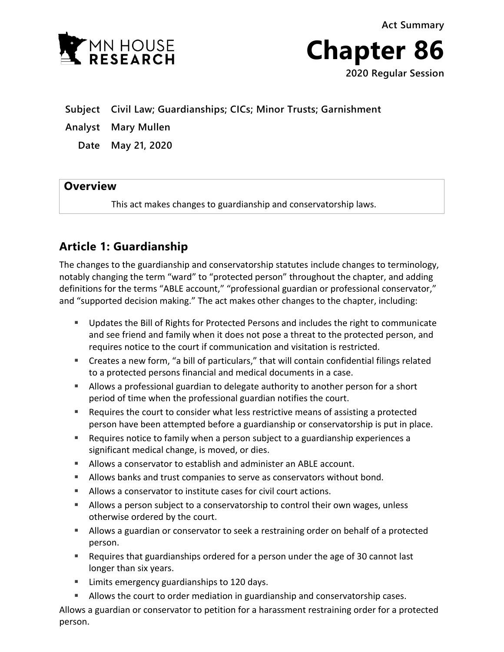



**Subject Civil Law; Guardianships; CICs; Minor Trusts; Garnishment** 

**Analyst Mary Mullen**

**Date May 21, 2020**

### **Overview**

This act makes changes to guardianship and conservatorship laws.

## **Article 1: Guardianship**

The changes to the guardianship and conservatorship statutes include changes to terminology, notably changing the term "ward" to "protected person" throughout the chapter, and adding definitions for the terms "ABLE account," "professional guardian or professional conservator," and "supported decision making." The act makes other changes to the chapter, including:

- Updates the Bill of Rights for Protected Persons and includes the right to communicate and see friend and family when it does not pose a threat to the protected person, and requires notice to the court if communication and visitation is restricted.
- Creates a new form, "a bill of particulars," that will contain confidential filings related to a protected persons financial and medical documents in a case.
- Allows a professional guardian to delegate authority to another person for a short period of time when the professional guardian notifies the court.
- Requires the court to consider what less restrictive means of assisting a protected person have been attempted before a guardianship or conservatorship is put in place.
- Requires notice to family when a person subject to a guardianship experiences a significant medical change, is moved, or dies.
- Allows a conservator to establish and administer an ABLE account.
- Allows banks and trust companies to serve as conservators without bond.
- Allows a conservator to institute cases for civil court actions.
- **Allows a person subject to a conservatorship to control their own wages, unless** otherwise ordered by the court.
- Allows a guardian or conservator to seek a restraining order on behalf of a protected person.
- Requires that guardianships ordered for a person under the age of 30 cannot last longer than six years.
- **EXEC** Limits emergency guardianships to 120 days.
- **Allows the court to order mediation in guardianship and conservatorship cases.**

Allows a guardian or conservator to petition for a harassment restraining order for a protected person.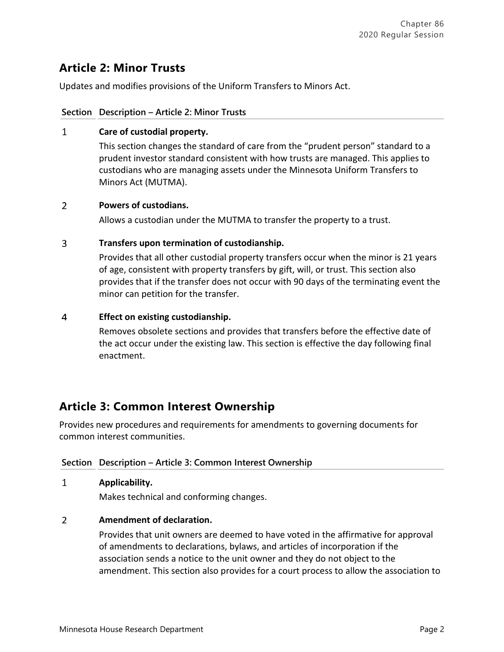# **Article 2: Minor Trusts**

Updates and modifies provisions of the Uniform Transfers to Minors Act.

### **Section Description – Article 2: Minor Trusts**

#### $\mathbf{1}$ **Care of custodial property.**

This section changes the standard of care from the "prudent person" standard to a prudent investor standard consistent with how trusts are managed. This applies to custodians who are managing assets under the Minnesota Uniform Transfers to Minors Act (MUTMA).

#### $\overline{2}$ **Powers of custodians.**

Allows a custodian under the MUTMA to transfer the property to a trust.

#### 3 **Transfers upon termination of custodianship.**

Provides that all other custodial property transfers occur when the minor is 21 years of age, consistent with property transfers by gift, will, or trust. This section also provides that if the transfer does not occur with 90 days of the terminating event the minor can petition for the transfer.

#### $\overline{4}$ **Effect on existing custodianship.**

Removes obsolete sections and provides that transfers before the effective date of the act occur under the existing law. This section is effective the day following final enactment.

## **Article 3: Common Interest Ownership**

Provides new procedures and requirements for amendments to governing documents for common interest communities.

### **Section Description – Article 3: Common Interest Ownership**

#### $\mathbf{1}$ **Applicability.**

Makes technical and conforming changes.

#### $\overline{2}$ **Amendment of declaration.**

Provides that unit owners are deemed to have voted in the affirmative for approval of amendments to declarations, bylaws, and articles of incorporation if the association sends a notice to the unit owner and they do not object to the amendment. This section also provides for a court process to allow the association to